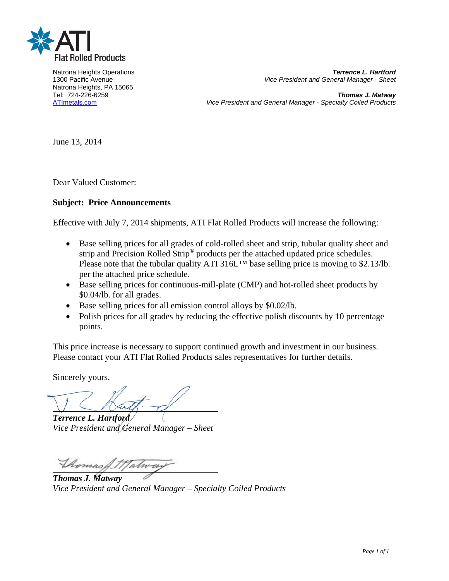

Natrona Heights, PA 15065

Natrona Heights Operations *Terrence L. Hartford* 1300 Pacific Avenue *Vice President and General Manager - Sheet* 

Tel: 724-226-6259 *Thomas J. Matway* ATImetals.com *Vice President and General Manager - Specialty Coiled Products* 

June 13, 2014

Dear Valued Customer:

## **Subject: Price Announcements**

Effective with July 7, 2014 shipments, ATI Flat Rolled Products will increase the following:

- Base selling prices for all grades of cold-rolled sheet and strip, tubular quality sheet and strip and Precision Rolled Strip<sup>®</sup> products per the attached updated price schedules. Please note that the tubular quality ATI 316L<sup>™</sup> base selling price is moving to \$2.13/lb. per the attached price schedule.
- Base selling prices for continuous-mill-plate (CMP) and hot-rolled sheet products by \$0.04/lb. for all grades.
- Base selling prices for all emission control alloys by \$0.02/lb.
- Polish prices for all grades by reducing the effective polish discounts by 10 percentage points.

This price increase is necessary to support continued growth and investment in our business. Please contact your ATI Flat Rolled Products sales representatives for further details.

Sincerely yours,

l,

*Terrence L. Hartford Vice President and General Manager – Sheet* 

*Thomas J. Matway*  Thomas A.T.  $\overline{a}$ 

*Vice President and General Manager – Specialty Coiled Products*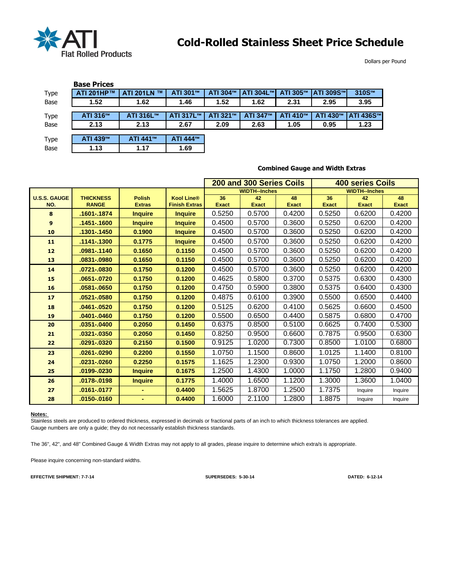

Dollars per Pound

|      | <b>Base Prices</b> |                               |           |          |                  |          |                   |           |
|------|--------------------|-------------------------------|-----------|----------|------------------|----------|-------------------|-----------|
| Type | ATI 201HP™         | <b>TM</b><br><b>ATI 201LN</b> | ATI 301™  | ATI 304™ | <b>ATI 304L™</b> | ATI 305™ | <b>ATI 309S™I</b> | 310S™     |
| Base | 1.52               | 1.62                          | 1.46      | 1.52     | 1.62             | 2.31     | 2.95              | 3.95      |
|      |                    |                               |           |          |                  |          |                   |           |
| Type | ATI 316™           | ATI 316L™                     | ATI 317L™ | ATI 321™ | ATI 347™         | ATI 410™ | ATI 430™          | ATI 436S™ |
| Base | 2.13               | 2.13                          | 2.67      | 2.09     | 2.63             | 1.05     | 0.95              | 1.23      |
|      |                    |                               |           |          |                  |          |                   |           |
| Type | ATI 439™           | ATI 441™                      | ATI 444™  |          |                  |          |                   |           |
| Base | 1.13               | 1.17                          | 1.69      |          |                  |          |                   |           |

J.

## **Combined Gauge and Width Extras**

|                     |                  |                |                      | 200 and 300 Series Coils |                      |              | <b>400 series Coils</b> |                      |              |  |
|---------------------|------------------|----------------|----------------------|--------------------------|----------------------|--------------|-------------------------|----------------------|--------------|--|
|                     |                  |                |                      |                          | <b>WIDTH--Inches</b> |              |                         | <b>WIDTH--Inches</b> |              |  |
| <b>U.S.S. GAUGE</b> | <b>THICKNESS</b> | <b>Polish</b>  | <b>Kool Line®</b>    | 36                       | 42                   | 48           | 36                      | 42                   | 48           |  |
| NO.                 | <b>RANGE</b>     | <b>Extras</b>  | <b>Finish Extras</b> | <b>Exact</b>             | <b>Exact</b>         | <b>Exact</b> | <b>Exact</b>            | <b>Exact</b>         | <b>Exact</b> |  |
| 8                   | .1601-.1874      | <b>Inquire</b> | <b>Inquire</b>       | 0.5250                   | 0.5700               | 0.4200       | 0.5250                  | 0.6200               | 0.4200       |  |
| 9                   | .1451-.1600      | <b>Inquire</b> | <b>Inquire</b>       | 0.4500                   | 0.5700               | 0.3600       | 0.5250                  | 0.6200               | 0.4200       |  |
| 10                  | .1301-.1450      | 0.1900         | <b>Inquire</b>       | 0.4500                   | 0.5700               | 0.3600       | 0.5250                  | 0.6200               | 0.4200       |  |
| 11                  | .1141-.1300      | 0.1775         | <b>Inquire</b>       | 0.4500                   | 0.5700               | 0.3600       | 0.5250                  | 0.6200               | 0.4200       |  |
| 12                  | .0981-.1140      | 0.1650         | 0.1150               | 0.4500                   | 0.5700               | 0.3600       | 0.5250                  | 0.6200               | 0.4200       |  |
| 13                  | .0831-.0980      | 0.1650         | 0.1150               | 0.4500                   | 0.5700               | 0.3600       | 0.5250                  | 0.6200               | 0.4200       |  |
| 14                  | .0721-.0830      | 0.1750         | 0.1200               | 0.4500                   | 0.5700               | 0.3600       | 0.5250                  | 0.6200               | 0.4200       |  |
| 15                  | .0651-.0720      | 0.1750         | 0.1200               | 0.4625                   | 0.5800               | 0.3700       | 0.5375                  | 0.6300               | 0.4300       |  |
| 16                  | .0581-.0650      | 0.1750         | 0.1200               | 0.4750                   | 0.5900               | 0.3800       | 0.5375                  | 0.6400               | 0.4300       |  |
| 17                  | .0521-.0580      | 0.1750         | 0.1200               | 0.4875                   | 0.6100               | 0.3900       | 0.5500                  | 0.6500               | 0.4400       |  |
| 18                  | .0461-.0520      | 0.1750         | 0.1200               | 0.5125                   | 0.6200               | 0.4100       | 0.5625                  | 0.6600               | 0.4500       |  |
| 19                  | .0401-.0460      | 0.1750         | 0.1200               | 0.5500                   | 0.6500               | 0.4400       | 0.5875                  | 0.6800               | 0.4700       |  |
| 20                  | .0351-.0400      | 0.2050         | 0.1450               | 0.6375                   | 0.8500               | 0.5100       | 0.6625                  | 0.7400               | 0.5300       |  |
| 21                  | .0321-.0350      | 0.2050         | 0.1450               | 0.8250                   | 0.9500               | 0.6600       | 0.7875                  | 0.9500               | 0.6300       |  |
| 22                  | .0291-.0320      | 0.2150         | 0.1500               | 0.9125                   | 1.0200               | 0.7300       | 0.8500                  | 1.0100               | 0.6800       |  |
| 23                  | .0261-.0290      | 0.2200         | 0.1550               | 1.0750                   | 1.1500               | 0.8600       | 1.0125                  | 1.1400               | 0.8100       |  |
| 24                  | .0231-.0260      | 0.2250         | 0.1575               | 1.1625                   | 1.2300               | 0.9300       | 1.0750                  | 1.2000               | 0.8600       |  |
| 25                  | .0199-.0230      | <b>Inquire</b> | 0.1675               | 1.2500                   | 1.4300               | 1.0000       | 1.1750                  | 1.2800               | 0.9400       |  |
| 26                  | .0178-.0198      | <b>Inquire</b> | 0.1775               | 1.4000                   | 1.6500               | 1.1200       | 1.3000                  | 1.3600               | 1.0400       |  |
| 27                  | .0161-.0177      | ٠              | 0.4400               | 1.5625                   | 1.8700               | 1.2500       | 1.7375                  | Inquire              | Inquire      |  |
| 28                  | .0150-.0160      | ٠              | 0.4400               | 1.6000                   | 2.1100               | 1.2800       | 1.8875                  | Inquire              | Inquire      |  |

### **Notes:**

Stainless steels are produced to ordered thickness, expressed in decimals or fractional parts of an inch to which thickness tolerances are applied. Gauge numbers are only a guide; they do not necessarily establish thickness standards.

The 36", 42", and 48" Combined Gauge & Width Extras may not apply to all grades, please inquire to determine which extra/s is appropriate.

Please inquire concerning non-standard widths.

**EFFECTIVE SHIPMENT: 7-7-14 SUPERSEDES: 5-30-14 DATED: 6-12-14**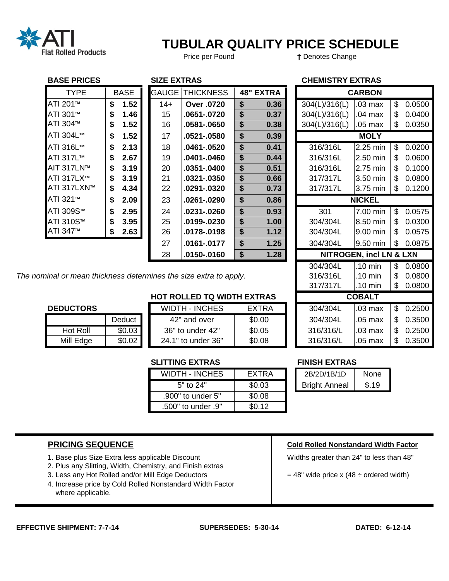

# **TUBULAR QUALITY PRICE SCHEDULE**

Price per Pound **†** Denotes Change

## **BASE PRICES SIZE EXTRAS CHEMISTRY EXTRAS**

| DAJL FNIVLJ                                                |             |      | JILL LATNAJ  |                  |    |                  |  | UILIVIIJINI LAINAJ |                                    |    |                                     |
|------------------------------------------------------------|-------------|------|--------------|------------------|----|------------------|--|--------------------|------------------------------------|----|-------------------------------------|
| <b>TYPE</b>                                                | <b>BASE</b> |      | <b>GAUGE</b> | <b>THICKNESS</b> |    | <b>48" EXTRA</b> |  |                    | <b>CARBON</b>                      |    |                                     |
| ATI 201 <sup>™</sup>                                       | \$          | 1.52 | $14+$        | Over .0720       | \$ | 0.36             |  | 304(L)/316(L)      | .03 max                            | \$ | 0.0500                              |
| ATI 301™                                                   | \$          | 1.46 | 15           | .0651-.0720      | \$ | 0.37             |  | 304(L)/316(L)      | .04 max                            | \$ | 0.0400                              |
| ATI 304™                                                   | \$          | 1.52 | 16           | .0581-.0650      | \$ | 0.38             |  | 304(L)/316(L)      | .05 max                            | S  | 0.0350                              |
| ATI 304L™                                                  | \$          | 1.52 | 17           | .0521-.0580      | \$ | 0.39             |  |                    | <b>MOLY</b>                        |    |                                     |
| ATI 316L™                                                  | \$          | 2.13 | 18           | .0461-.0520      | \$ | 0.41             |  | 316/316L           | 2.25 min                           | \$ | 0.0200                              |
| ATI 317L™                                                  | \$          | 2.67 | 19           | .0401-.0460      | \$ | 0.44             |  | 316/316L           | 2.50 min                           | \$ | 0.0600                              |
| AIT 317LN™                                                 | \$          | 3.19 | 20           | .0351-.0400      | \$ | 0.51             |  | 316/316L           | 2.75 min                           | \$ | 0.1000                              |
| ATI 317LX™                                                 | \$          | 3.19 | 21           | .0321-.0350      | \$ | 0.66             |  | 317/317L           | 3.50 min                           | \$ | 0.0800                              |
| ATI 317LXN™                                                | \$          | 4.34 | 22           | .0291-.0320      | \$ | 0.73             |  | 317/317L           | 3.75 min                           | \$ | 0.1200                              |
| ATI 321™                                                   | \$          | 2.09 | 23           | .0261-.0290      | \$ | 0.86             |  |                    | <b>NICKEL</b>                      |    |                                     |
| ATI 309S™                                                  | \$          | 2.95 | 24           | .0231-.0260      | \$ | 0.93             |  | 301                | 7.00 min                           | \$ | 0.0575                              |
| ATI 310S™                                                  | \$          | 3.95 | 25           | .0199-.0230      | \$ | 1.00             |  | 304/304L           | 8.50 min                           | \$ | 0.0300                              |
| ATI 347 <sup>™</sup>                                       | \$          | 2.63 | 26           | .0178-.0198      | \$ | 1.12             |  | 304/304L           | 9.00 min                           | \$ | 0.0575                              |
|                                                            |             |      | 27           | .0161-.0177      | \$ | 1.25             |  | 304/304L           | 9.50 min                           | \$ | 0.0875                              |
|                                                            |             |      | 28           | .0150-.0160      | \$ | 1.28             |  |                    | <b>NITROGEN, incl LN &amp; LXN</b> |    |                                     |
|                                                            |             |      |              |                  |    |                  |  | 304/304L           | $.10$ min                          | \$ | 0.0800                              |
| inal or mean thickness determines the size extra to apply. |             |      |              |                  |    |                  |  | 316/316L           | $.10$ min                          | \$ | 0.0800                              |
|                                                            |             |      |              |                  |    |                  |  | 317/317L           | $.10 \text{ min}$                  | \$ | 0.0800                              |
| <b>HOT ROLLED TQ WIDTH EXTRAS</b>                          |             |      |              |                  |    |                  |  |                    | <b>COBALT</b>                      |    |                                     |
| <b>DEDIICTODE</b>                                          |             |      |              | WINTH INCHES     |    | <b>CVTDA</b>     |  | <b>INOCINOC</b>    | $02 \text{ max}$                   |    | $\mathfrak{C}$ $\cap$ $\cap$ $\cap$ |

The nominal or mean thickness determines the size extra to apply. **316/316L** 1.10 min 1 \$ 0.0800

|           | Deduct |  |  |  |  |  |  |  |
|-----------|--------|--|--|--|--|--|--|--|
| Hot Roll  | \$0.03 |  |  |  |  |  |  |  |
| Mill Edge | \$0.02 |  |  |  |  |  |  |  |

|                  |        | <b>HOT ROLLED TQ WIDTH EXTRAS</b> |              |           | <b>COBALT</b>     |     |        |
|------------------|--------|-----------------------------------|--------------|-----------|-------------------|-----|--------|
| <b>DEDUCTORS</b> |        | <b>WIDTH - INCHES</b>             | <b>EXTRA</b> | 304/304L  | $.03 \text{ max}$ |     | 0.2500 |
|                  | Deduct | 42" and over                      | \$0.00       | 304/304L  | $.05$ max         | S   | 0.3500 |
| Hot Roll         | \$0.03 | 36" to under 42"                  | \$0.05       | 316/316/L | $.03$ max         | \$  | 0.2500 |
| Mill Edge        | \$0.02 | 24.1" to under 36"                | \$0.08       | 316/316/L | .05 max           | \$. | 0.3500 |

## **SLITTING EXTRAS FINISH EXTRAS**

| <b>WIDTH - INCHES</b> | <b>FXTRA</b> |
|-----------------------|--------------|
| 5" to 24"             | \$0.03       |
| .900" to under 5"     | \$0.08       |
| "9. 500" to under.    | \$0.12       |

| EXTRA  | 2B/2D/1B/1D          | None  |
|--------|----------------------|-------|
| \$0.03 | <b>Bright Anneal</b> | \$.19 |

- 1. Base plus Size Extra less applicable Discount Network Number 24" to less than 48"
- 2. Plus any Slitting, Width, Chemistry, and Finish extras
- 3. Less any Hot Rolled and/or Mill Edge Deductors  $\vert$  = 48" wide price x (48 ÷ ordered width)
- 4. Increase price by Cold Rolled Nonstandard Width Factor where applicable.

## **PRICING SEQUENCE Cold Rolled Nonstandard Width Factor**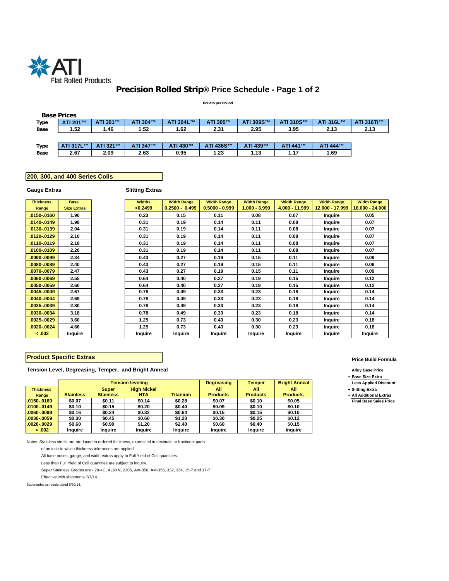

## **Precision Rolled Strip® Price Schedule - Page 1 of 2**

#### **Dollars per Pound**

|      | <b>Base Prices</b> |          |          |           |           |           |           |           |            |
|------|--------------------|----------|----------|-----------|-----------|-----------|-----------|-----------|------------|
| Type | ATI 201™           | ATI 301™ | ATI 304™ | ATI 304L™ | ATI 305™  | ATI 309S™ | ATI 310S™ | ATI 316L™ | ATI 316Ti™ |
| Base | 1.52               | 1.46     | 1.52     | 1.62      | 2.31      | 2.95      | 3.95      | 2.13      | 2.13       |
|      |                    |          |          |           |           |           |           |           |            |
| Type | ATI 317L™          | ATI 321™ | ATI 347™ | ATI 430™  | ATI 436S™ | ATI 439™  | ATI 441™  | ATI 444™  |            |
| Base | 2.67               | 2.09     | 2.63     | 0.95      | 1.23      | 1.13      | 1.17      | 1.69      |            |

### **200, 300, and 400 Series Coils**

### **Gauge Extras**

### **Slitting Extras**

| <b>Thickness</b> | <b>Base</b>        | <b>Widths</b>  | <b>Width Range</b> | <b>Width Range</b> | <b>Width Range</b> | <b>Width Range</b> | <b>Width Range</b> | <b>Width Range</b> |
|------------------|--------------------|----------------|--------------------|--------------------|--------------------|--------------------|--------------------|--------------------|
| Range            | <b>Size Extras</b> | < 0.2499       | $0.2500 - 0.499$   | $0.5000 - 0.999$   | 1.000 - 3.999      | 4.000 - 11.999     | 12.000 - 17.999    | 18.000 - 24.000    |
| 0150-.0160       | 1.90               | 0.23           | 0.15               | 0.11               | 0.08               | 0.07               | Inquire            | 0.05               |
| 0140-.0149       | 1.98               | 0.31           | 0.19               | 0.14               | 0.11               | 0.08               | Inquire            | 0.07               |
| 0130-.0139       | 2.04               | 0.31           | 0.19               | 0.14               | 0.11               | 0.08               | Inquire            | 0.07               |
| 0120-.0129       | 2.10               | 0.31           | 0.19               | 0.14               | 0.11               | 0.08               | Inquire            | 0.07               |
| 0110-.0119       | 2.18               | 0.31           | 0.19               | 0.14               | 0.11               | 0.08               | Inquire            | 0.07               |
| 0100-0109        | 2.26               | 0.31           | 0.19               | 0.14               | 0.11               | 0.08               | Inquire            | 0.07               |
| .0090-.0099      | 2.34               | 0.43           | 0.27               | 0.19               | 0.15               | 0.11               | Inquire            | 0.09               |
| 0080-.0089       | 2.40               | 0.43           | 0.27               | 0.19               | 0.15               | 0.11               | Inquire            | 0.09               |
| 0070-.0079       | 2.47               | 0.43           | 0.27               | 0.19               | 0.15               | 0.11               | Inquire            | 0.09               |
| 0060-0069        | 2.55               | 0.64           | 0.40               | 0.27               | 0.19               | 0.15               | Inquire            | 0.12               |
| 0050-.0059       | 2.60               | 0.64           | 0.40               | 0.27               | 0.19               | 0.15               | Inquire            | 0.12               |
| 0045-.0049       | 2.67               | 0.78           | 0.49               | 0.33               | 0.23               | 0.18               | Inquire            | 0.14               |
| 0040-.0044       | 2.69               | 0.78           | 0.49               | 0.33               | 0.23               | 0.18               | Inquire            | 0.14               |
| 0035-.0039       | 2.80               | 0.78           | 0.49               | 0.33               | 0.23               | 0.18               | Inquire            | 0.14               |
| 0030-.0034       | 3.18               | 0.78           | 0.49               | 0.33               | 0.23               | 0.18               | Inquire            | 0.14               |
| 0025-.0029       | 3.60               | 1.25           | 0.73               | 0.43               | 0.30               | 0.23               | Inquire            | 0.18               |
| 0020-.0024       | 4.66               | 1.25           | 0.73               | 0.43               | 0.30               | 0.23               | Inquire            | 0.18               |
| < .002           | Inquire            | <b>Inquire</b> | Inquire            | Inquire            | Inquire            | Inquire            | Inquire            | Inquire            |

### **Product Specific Extras**

**Tension Level, Degreasing, Temper, and Bright Anneal Alloy Base Price**

|                  |                  |                  | <b>Tension leveling</b> |                 | <b>Degreasing</b> | Temper          | <b>Bright Anneal</b> | <b>Less Applied</b> |
|------------------|------------------|------------------|-------------------------|-----------------|-------------------|-----------------|----------------------|---------------------|
| <b>Thickness</b> |                  | <b>Super</b>     | <b>High Nickel</b>      |                 | All               | All             | All                  | + Slitting Extra    |
| Range            | <b>Stainless</b> | <b>Stainless</b> | HTA                     | <b>Titanium</b> | <b>Products</b>   | <b>Products</b> | <b>Products</b>      | + All Additiona     |
| $.0150-.0160$    | \$0.07           | \$0.11           | \$0.14                  | \$0.28          | \$0.07            | \$0.10          | \$0.05               | <b>Final Base S</b> |
| $.0100-.0149$    | \$0.10           | \$0.15           | \$0.20                  | \$0.40          | \$0.09            | \$0.10          | \$0.10               |                     |
| $.0060-.0099$    | \$0.16           | \$0.24           | \$0.32                  | \$0.64          | \$0.15            | \$0.15          | \$0.10               |                     |
| $.0030-.0059$    | \$0.30           | \$0.45           | \$0.60                  | \$1.20          | \$0.30            | \$0.25          | \$0.12               |                     |
| $.0020-.0029$    | \$0.60           | \$0.90           | \$1.20                  | \$2.40          | \$0.60            | \$0.40          | \$0.15               |                     |
| < .002           | <b>Inquire</b>   | <b>Inquire</b>   | <b>Inquire</b>          | Inquire         | <b>Inquire</b>    | <b>Inquire</b>  | Inquire              |                     |

Notes: Stainless steels are produced to ordered thickness, expressed in decimals or fractional parts

of an inch to which thickness tolerances are applied.

All base prices, gauge, and width extras apply to Full Yield of Coil quantities.

Less than Full Yield of Coil quantities are subject to inquiry.

Super Stainless Grades are - 29-4C, AL6XN, 2205, Am-350, AM-355, 332, 334, 15-7 and 17-7

Effective with shipments 7/7/14.

Supersedes schedule dated 5/30/14.

#### **Price Build Formula**

**+ Base Size Extra**

Less Applied Discount

**+ All Additional Extras** 

 $\overline{\mathsf{Final}~\mathsf{Base}~\mathsf{Sales}~\mathsf{Price}}$